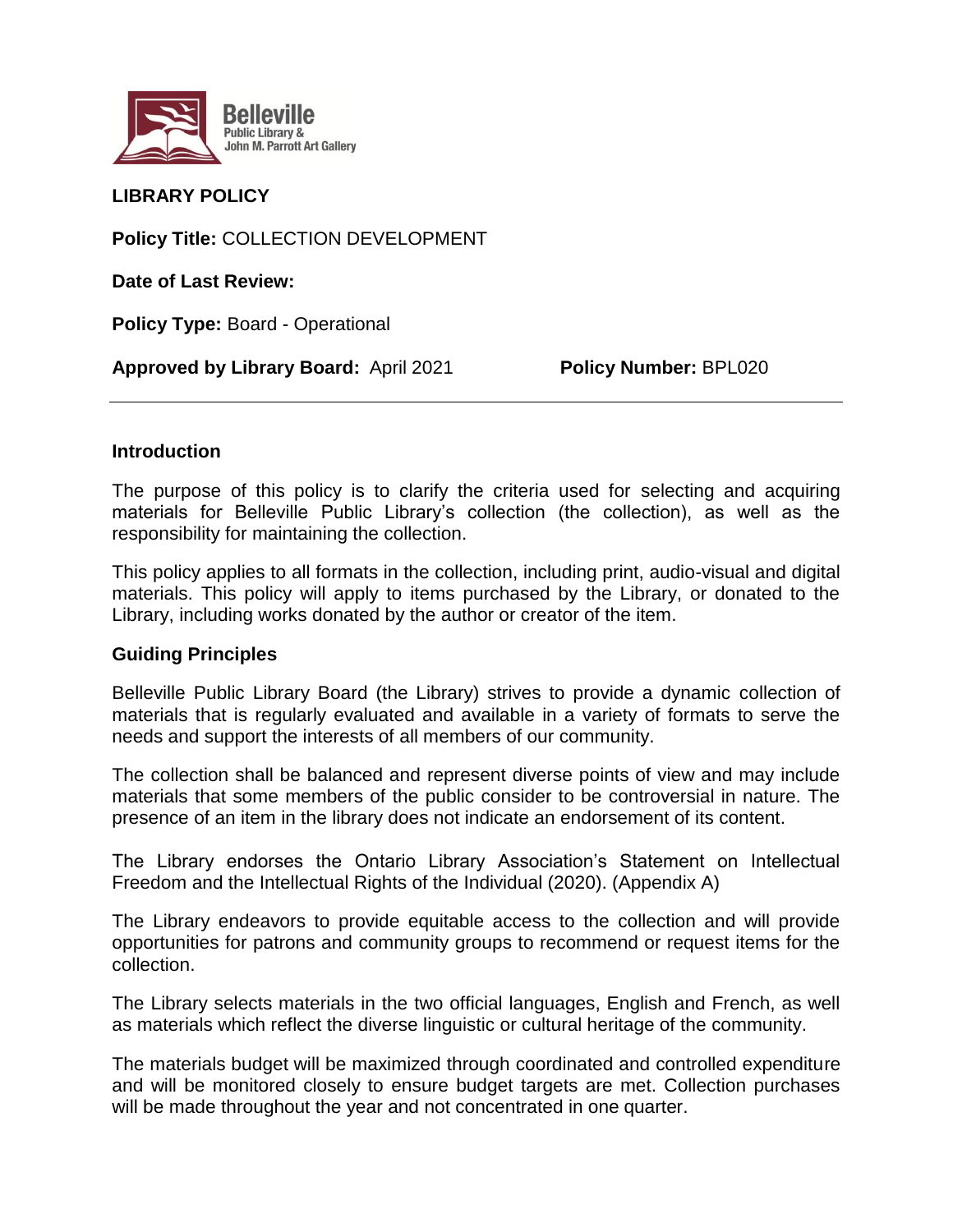

# **LIBRARY POLICY**

**Policy Title:** COLLECTION DEVELOPMENT

**Date of Last Review:**

**Policy Type:** Board - Operational

**Approved by Library Board:** April 2021 **Policy Number:** BPL020

### **Introduction**

The purpose of this policy is to clarify the criteria used for selecting and acquiring materials for Belleville Public Library's collection (the collection), as well as the responsibility for maintaining the collection.

This policy applies to all formats in the collection, including print, audio-visual and digital materials. This policy will apply to items purchased by the Library, or donated to the Library, including works donated by the author or creator of the item.

#### **Guiding Principles**

Belleville Public Library Board (the Library) strives to provide a dynamic collection of materials that is regularly evaluated and available in a variety of formats to serve the needs and support the interests of all members of our community.

The collection shall be balanced and represent diverse points of view and may include materials that some members of the public consider to be controversial in nature. The presence of an item in the library does not indicate an endorsement of its content.

The Library endorses the Ontario Library Association's Statement on Intellectual Freedom and the Intellectual Rights of the Individual (2020). (Appendix A)

The Library endeavors to provide equitable access to the collection and will provide opportunities for patrons and community groups to recommend or request items for the collection.

The Library selects materials in the two official languages, English and French, as well as materials which reflect the diverse linguistic or cultural heritage of the community.

The materials budget will be maximized through coordinated and controlled expenditure and will be monitored closely to ensure budget targets are met. Collection purchases will be made throughout the year and not concentrated in one quarter.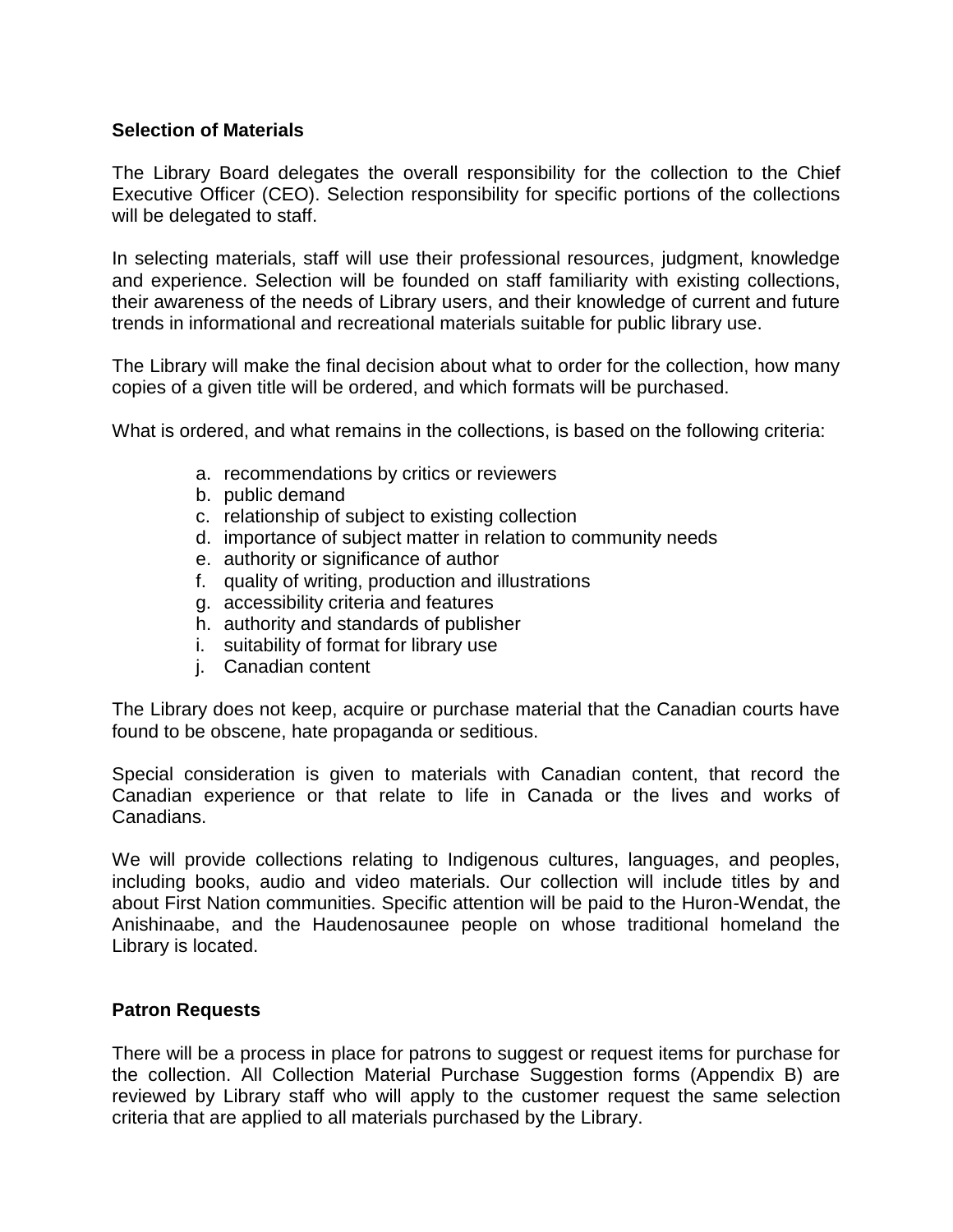## **Selection of Materials**

The Library Board delegates the overall responsibility for the collection to the Chief Executive Officer (CEO). Selection responsibility for specific portions of the collections will be delegated to staff.

In selecting materials, staff will use their professional resources, judgment, knowledge and experience. Selection will be founded on staff familiarity with existing collections, their awareness of the needs of Library users, and their knowledge of current and future trends in informational and recreational materials suitable for public library use.

The Library will make the final decision about what to order for the collection, how many copies of a given title will be ordered, and which formats will be purchased.

What is ordered, and what remains in the collections, is based on the following criteria:

- a. recommendations by critics or reviewers
- b. public demand
- c. relationship of subject to existing collection
- d. importance of subject matter in relation to community needs
- e. authority or significance of author
- f. quality of writing, production and illustrations
- g. accessibility criteria and features
- h. authority and standards of publisher
- i. suitability of format for library use
- j. Canadian content

The Library does not keep, acquire or purchase material that the Canadian courts have found to be obscene, hate propaganda or seditious.

Special consideration is given to materials with Canadian content, that record the Canadian experience or that relate to life in Canada or the lives and works of Canadians.

We will provide collections relating to Indigenous cultures, languages, and peoples, including books, audio and video materials. Our collection will include titles by and about First Nation communities. Specific attention will be paid to the Huron-Wendat, the Anishinaabe, and the Haudenosaunee people on whose traditional homeland the Library is located.

#### **Patron Requests**

There will be a process in place for patrons to suggest or request items for purchase for the collection. All Collection Material Purchase Suggestion forms (Appendix B) are reviewed by Library staff who will apply to the customer request the same selection criteria that are applied to all materials purchased by the Library.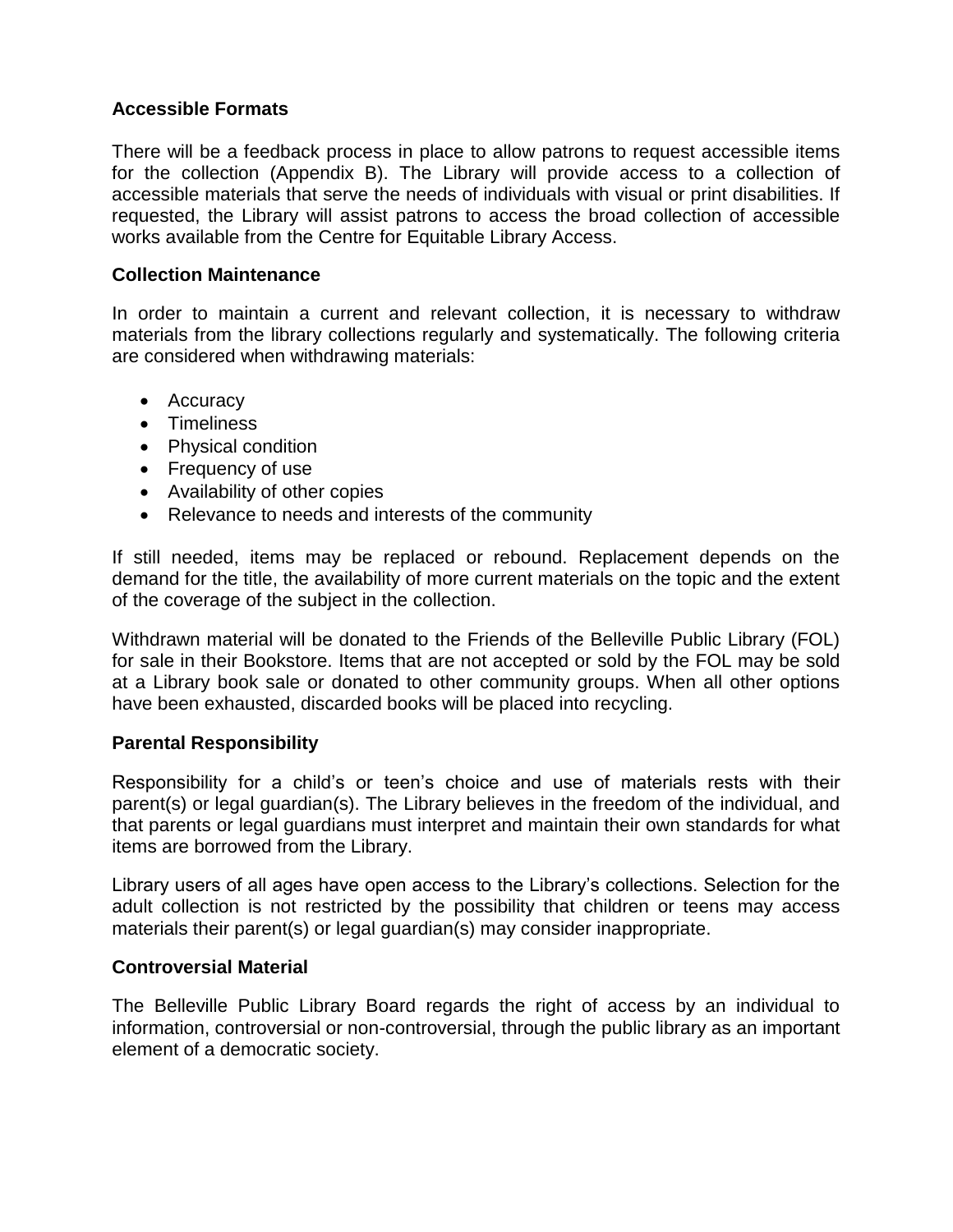# **Accessible Formats**

There will be a feedback process in place to allow patrons to request accessible items for the collection (Appendix B). The Library will provide access to a collection of accessible materials that serve the needs of individuals with visual or print disabilities. If requested, the Library will assist patrons to access the broad collection of accessible works available from the Centre for Equitable Library Access.

# **Collection Maintenance**

In order to maintain a current and relevant collection, it is necessary to withdraw materials from the library collections regularly and systematically. The following criteria are considered when withdrawing materials:

- Accuracy
- **•** Timeliness
- Physical condition
- Frequency of use
- Availability of other copies
- Relevance to needs and interests of the community

If still needed, items may be replaced or rebound. Replacement depends on the demand for the title, the availability of more current materials on the topic and the extent of the coverage of the subject in the collection.

Withdrawn material will be donated to the Friends of the Belleville Public Library (FOL) for sale in their Bookstore. Items that are not accepted or sold by the FOL may be sold at a Library book sale or donated to other community groups. When all other options have been exhausted, discarded books will be placed into recycling.

# **Parental Responsibility**

Responsibility for a child's or teen's choice and use of materials rests with their parent(s) or legal guardian(s). The Library believes in the freedom of the individual, and that parents or legal guardians must interpret and maintain their own standards for what items are borrowed from the Library.

Library users of all ages have open access to the Library's collections. Selection for the adult collection is not restricted by the possibility that children or teens may access materials their parent(s) or legal guardian(s) may consider inappropriate.

# **Controversial Material**

The Belleville Public Library Board regards the right of access by an individual to information, controversial or non-controversial, through the public library as an important element of a democratic society.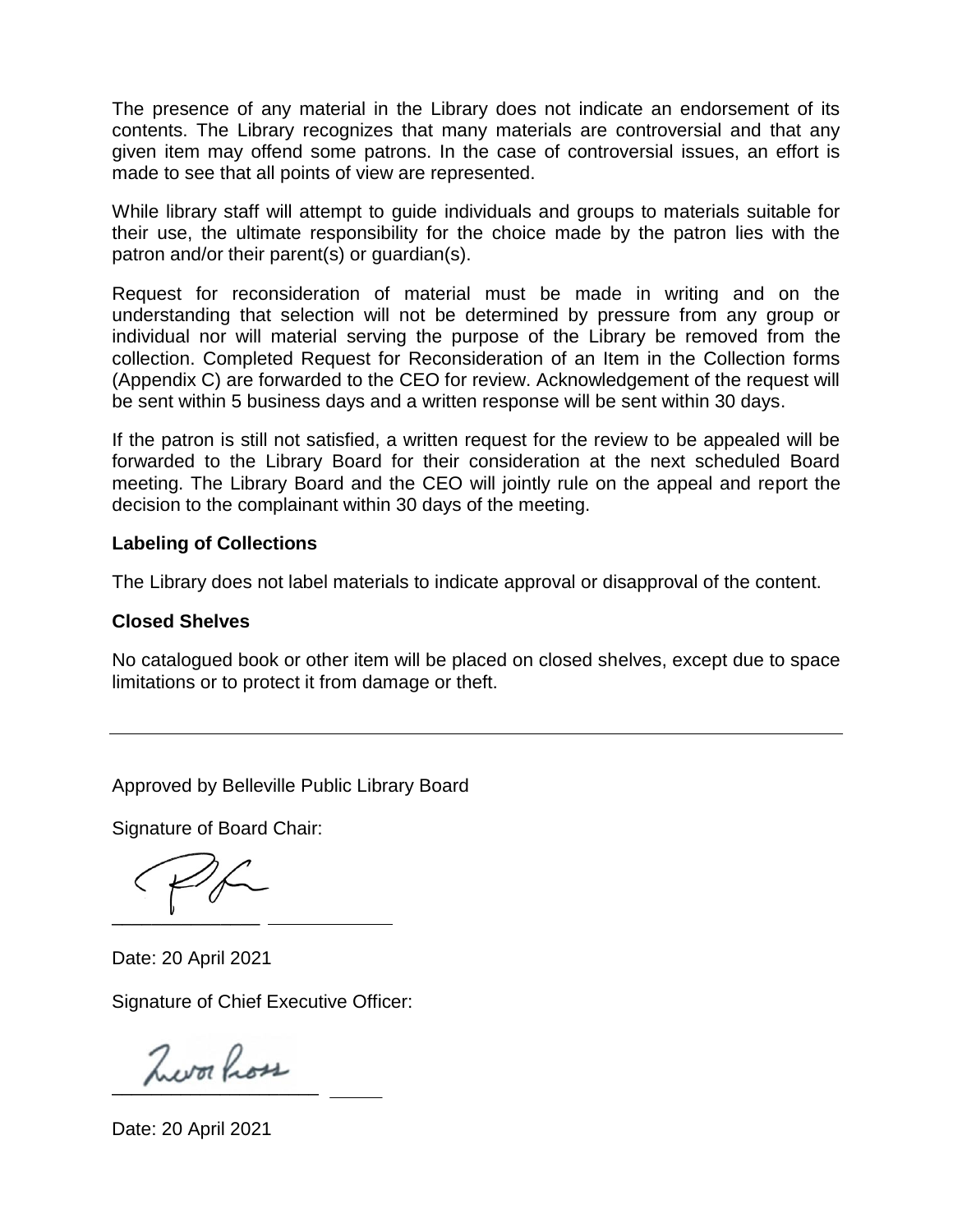The presence of any material in the Library does not indicate an endorsement of its contents. The Library recognizes that many materials are controversial and that any given item may offend some patrons. In the case of controversial issues, an effort is made to see that all points of view are represented.

While library staff will attempt to guide individuals and groups to materials suitable for their use, the ultimate responsibility for the choice made by the patron lies with the patron and/or their parent(s) or guardian(s).

Request for reconsideration of material must be made in writing and on the understanding that selection will not be determined by pressure from any group or individual nor will material serving the purpose of the Library be removed from the collection. Completed Request for Reconsideration of an Item in the Collection forms (Appendix C) are forwarded to the CEO for review. Acknowledgement of the request will be sent within 5 business days and a written response will be sent within 30 days.

If the patron is still not satisfied, a written request for the review to be appealed will be forwarded to the Library Board for their consideration at the next scheduled Board meeting. The Library Board and the CEO will jointly rule on the appeal and report the decision to the complainant within 30 days of the meeting.

# **Labeling of Collections**

The Library does not label materials to indicate approval or disapproval of the content.

#### **Closed Shelves**

No catalogued book or other item will be placed on closed shelves, except due to space limitations or to protect it from damage or theft.

Approved by Belleville Public Library Board

Signature of Board Chair:

 $\overline{\phantom{a}}$  ,  $\overline{\phantom{a}}$  ,  $\overline{\phantom{a}}$  ,  $\overline{\phantom{a}}$  ,  $\overline{\phantom{a}}$  ,  $\overline{\phantom{a}}$  ,  $\overline{\phantom{a}}$  ,  $\overline{\phantom{a}}$  ,  $\overline{\phantom{a}}$  ,  $\overline{\phantom{a}}$  ,  $\overline{\phantom{a}}$  ,  $\overline{\phantom{a}}$  ,  $\overline{\phantom{a}}$  ,  $\overline{\phantom{a}}$  ,  $\overline{\phantom{a}}$  ,  $\overline{\phantom{a}}$ 

Date: 20 April 2021

\_

Signature of Chief Executive Officer:

 $\overline{\phantom{a}}$ 

Date: 20 April 2021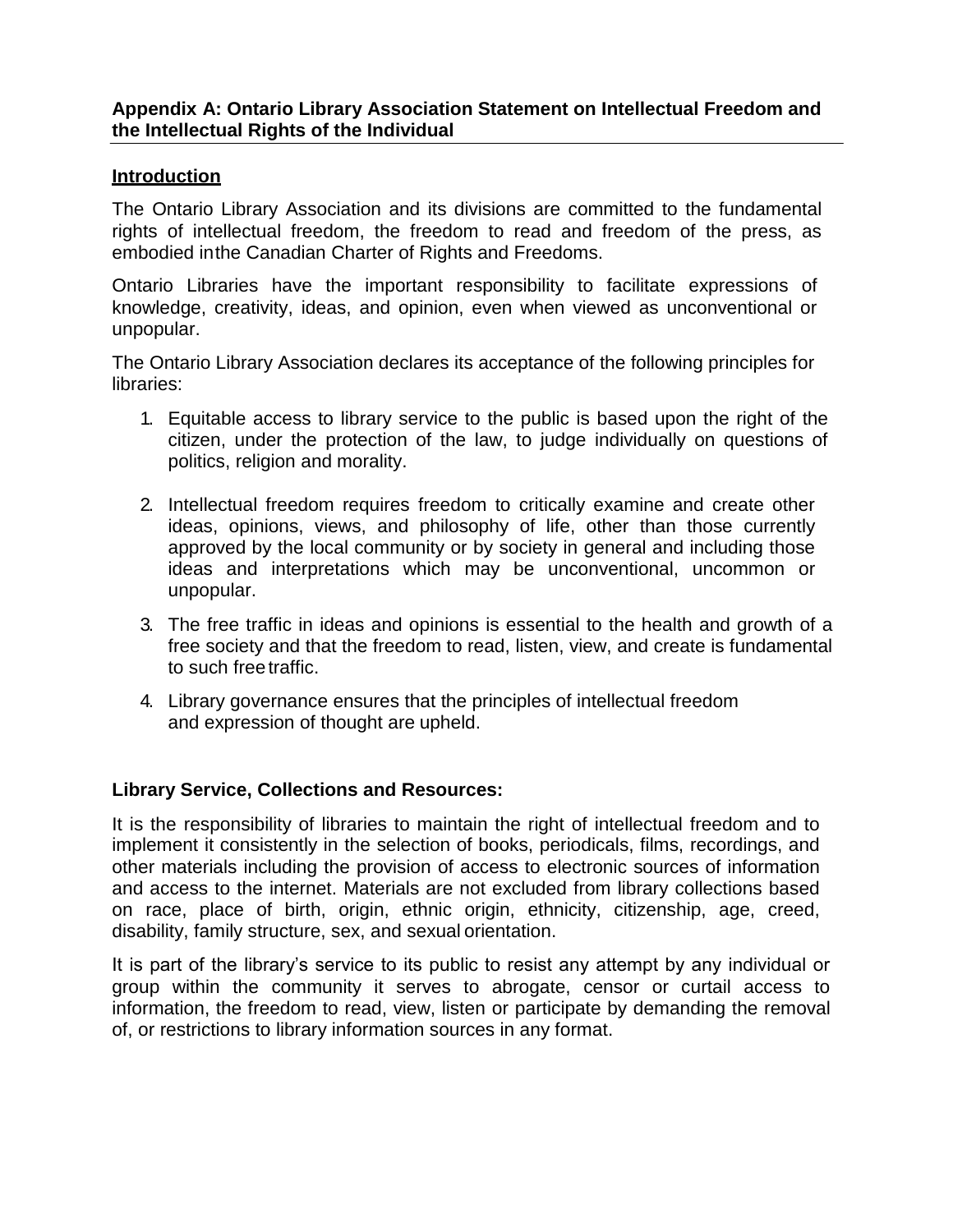# **Appendix A: Ontario Library Association Statement on Intellectual Freedom and the Intellectual Rights of the Individual**

## **Introduction**

The Ontario Library Association and its divisions are committed to the fundamental rights of intellectual freedom, the freedom to read and freedom of the press, as embodied inthe Canadian Charter of Rights and Freedoms.

Ontario Libraries have the important responsibility to facilitate expressions of knowledge, creativity, ideas, and opinion, even when viewed as unconventional or unpopular.

The Ontario Library Association declares its acceptance of the following principles for libraries:

- 1. Equitable access to library service to the public is based upon the right of the citizen, under the protection of the law, to judge individually on questions of politics, religion and morality.
- 2. Intellectual freedom requires freedom to critically examine and create other ideas, opinions, views, and philosophy of life, other than those currently approved by the local community or by society in general and including those ideas and interpretations which may be unconventional, uncommon or unpopular.
- 3. The free traffic in ideas and opinions is essential to the health and growth of a free society and that the freedom to read, listen, view, and create is fundamental to such freetraffic.
- 4. Library governance ensures that the principles of intellectual freedom and expression of thought are upheld.

# **Library Service, Collections and Resources:**

It is the responsibility of libraries to maintain the right of intellectual freedom and to implement it consistently in the selection of books, periodicals, films, recordings, and other materials including the provision of access to electronic sources of information and access to the internet. Materials are not excluded from library collections based on race, place of birth, origin, ethnic origin, ethnicity, citizenship, age, creed, disability, family structure, sex, and sexual orientation.

It is part of the library's service to its public to resist any attempt by any individual or group within the community it serves to abrogate, censor or curtail access to information, the freedom to read, view, listen or participate by demanding the removal of, or restrictions to library information sources in any format.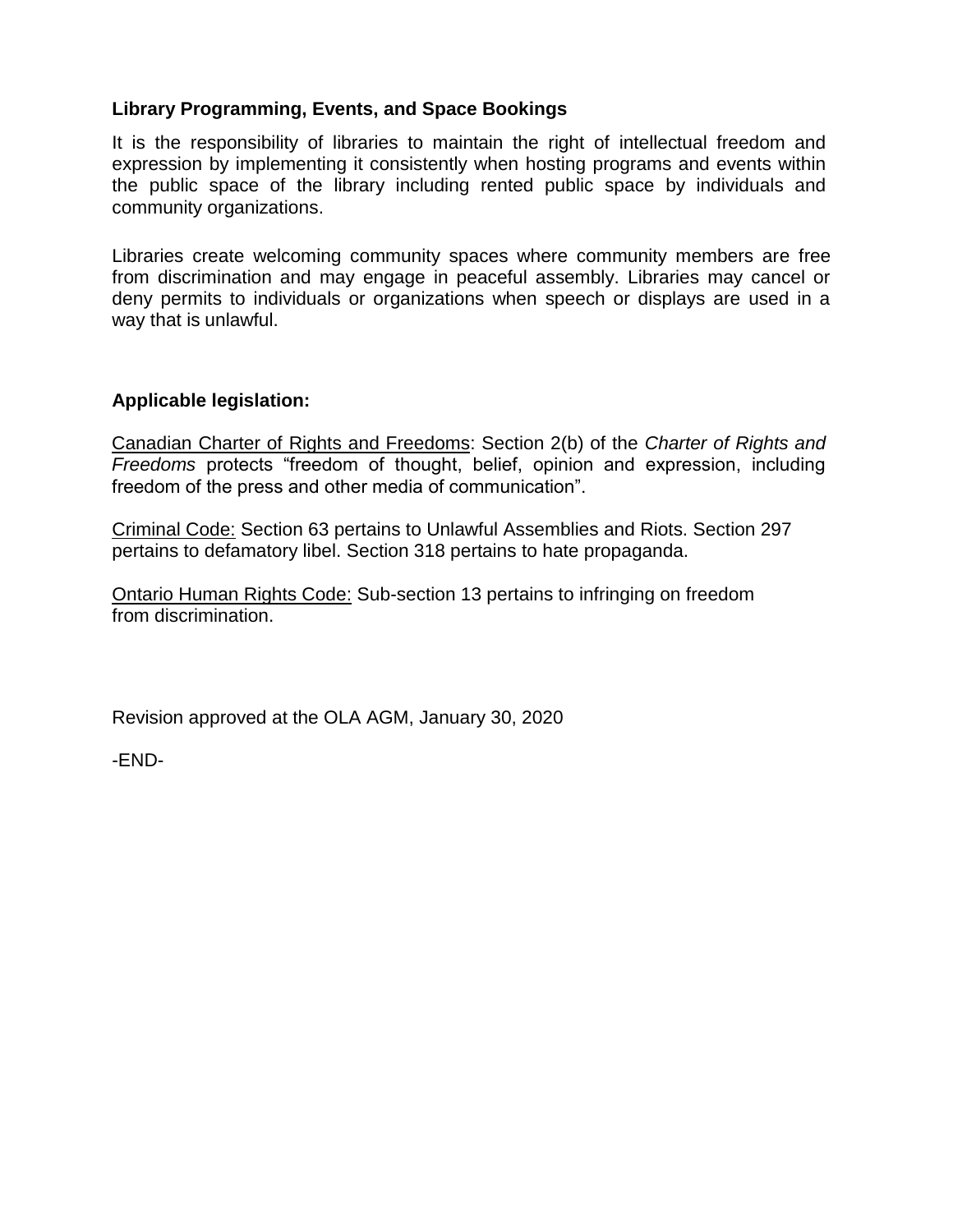# **Library Programming, Events, and Space Bookings**

It is the responsibility of libraries to maintain the right of intellectual freedom and expression by implementing it consistently when hosting programs and events within the public space of the library including rented public space by individuals and community organizations.

Libraries create welcoming community spaces where community members are free from discrimination and may engage in peaceful assembly. Libraries may cancel or deny permits to individuals or organizations when speech or displays are used in a way that is unlawful.

# **Applicable legislation:**

Canadian Charter of Rights and Freedoms: Section 2(b) of the *Charter of Rights and Freedoms* protects "freedom of thought, belief, opinion and expression, including freedom of the press and other media of communication".

Criminal Code: Section 63 pertains to Unlawful Assemblies and Riots. Section 297 pertains to defamatory libel. Section 318 pertains to hate propaganda.

Ontario Human Rights Code: Sub-section 13 pertains to infringing on freedom from discrimination.

Revision approved at the OLA AGM, January 30, 2020

-END-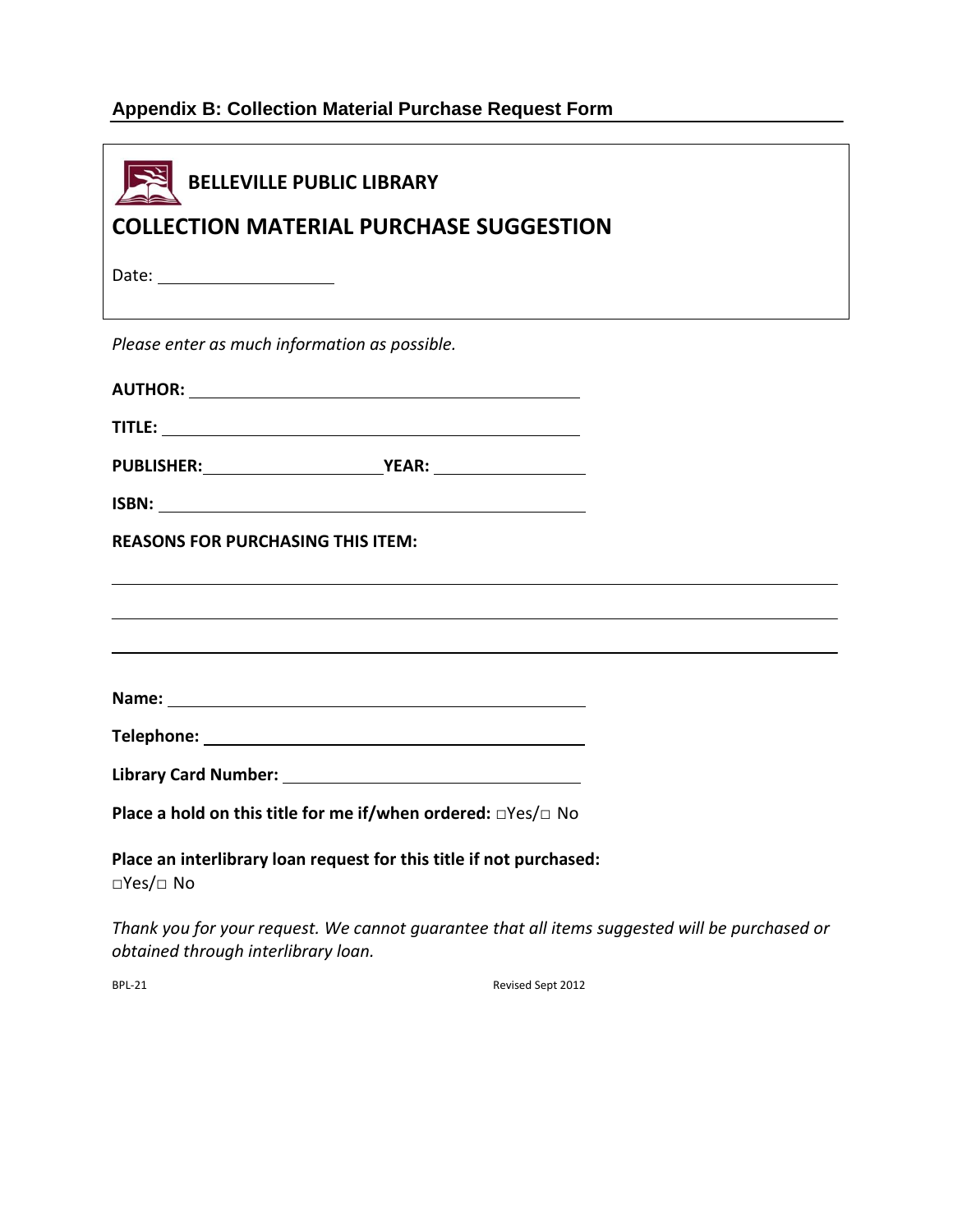# **Appendix B: Collection Material Purchase Request Form**

| <b>BELLEVILLE PUBLIC LIBRARY</b>                                                              |  |
|-----------------------------------------------------------------------------------------------|--|
| <b>COLLECTION MATERIAL PURCHASE SUGGESTION</b>                                                |  |
|                                                                                               |  |
| Please enter as much information as possible.                                                 |  |
|                                                                                               |  |
|                                                                                               |  |
|                                                                                               |  |
|                                                                                               |  |
| <b>REASONS FOR PURCHASING THIS ITEM:</b>                                                      |  |
|                                                                                               |  |
|                                                                                               |  |
|                                                                                               |  |
|                                                                                               |  |
|                                                                                               |  |
|                                                                                               |  |
| Place a hold on this title for me if/when ordered: □Yes/□ No                                  |  |
| Place an interlibrary loan request for this title if not purchased:<br>$\Box$ Yes/ $\Box$ No  |  |
| Thank you for your request. We cannot guarantee that all items suggested will be purchased or |  |

*obtained through interlibrary loan.*

BPL-21 Revised Sept 2012